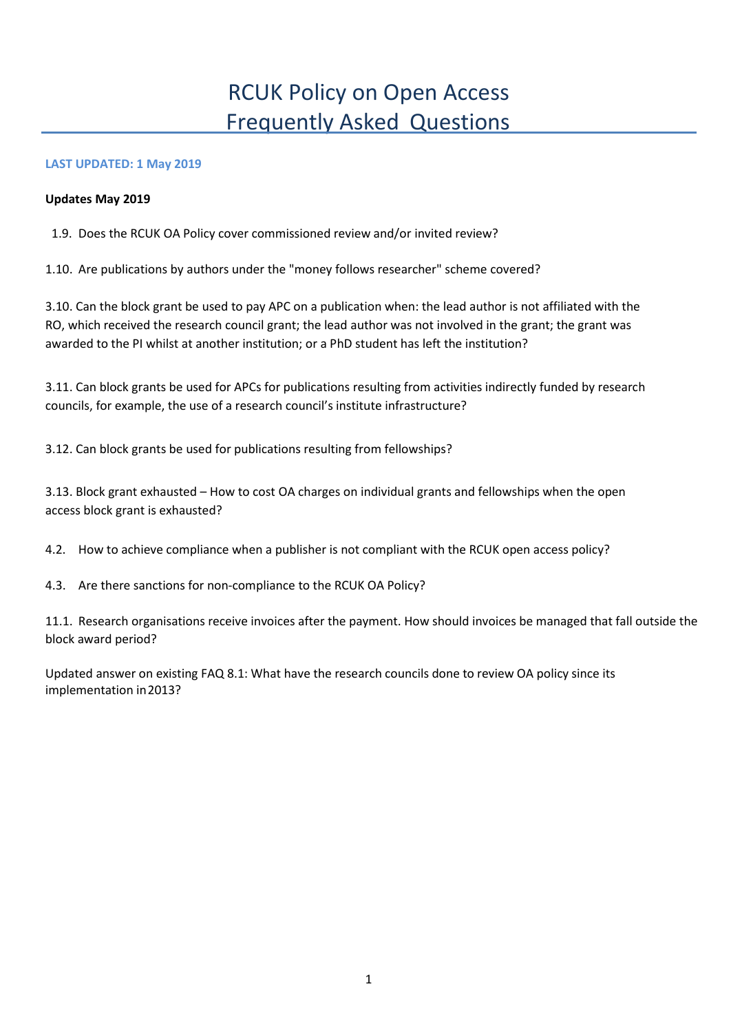# RCUK Policy on Open Access Frequently Asked Questions

## **LAST UPDATED: 1 May 2019**

#### **Updates May 2019**

1.9. Does the RCUK OA Policy cover commissioned review and/or invited review?

1.10. Are publications by authors under the "money follows researcher" scheme covered?

3.10. Can the block grant be used to pay APC on a publication when: the lead author is not affiliated with the RO, which received the research council grant; the lead author was not involved in the grant; the grant was awarded to the PI whilst at another institution; or a PhD student has left the institution?

3.11. Can block grants be used for APCs for publications resulting from activities indirectly funded by research councils, for example, the use of a research council's institute infrastructure?

3.12. Can block grants be used for publications resulting from fellowships?

3.13. Block grant exhausted – How to cost OA charges on individual grants and fellowships when the open access block grant is exhausted?

4.2. How to achieve compliance when a publisher is not compliant with the RCUK open access policy?

4.3. Are there sanctions for non-compliance to the RCUK OA Policy?

11.1. Research organisations receive invoices after the payment. How should invoices be managed that fall outside the block award period?

Updated answer on existing FAQ 8.1: What have the research councils done to review OA policy since its implementation in2013?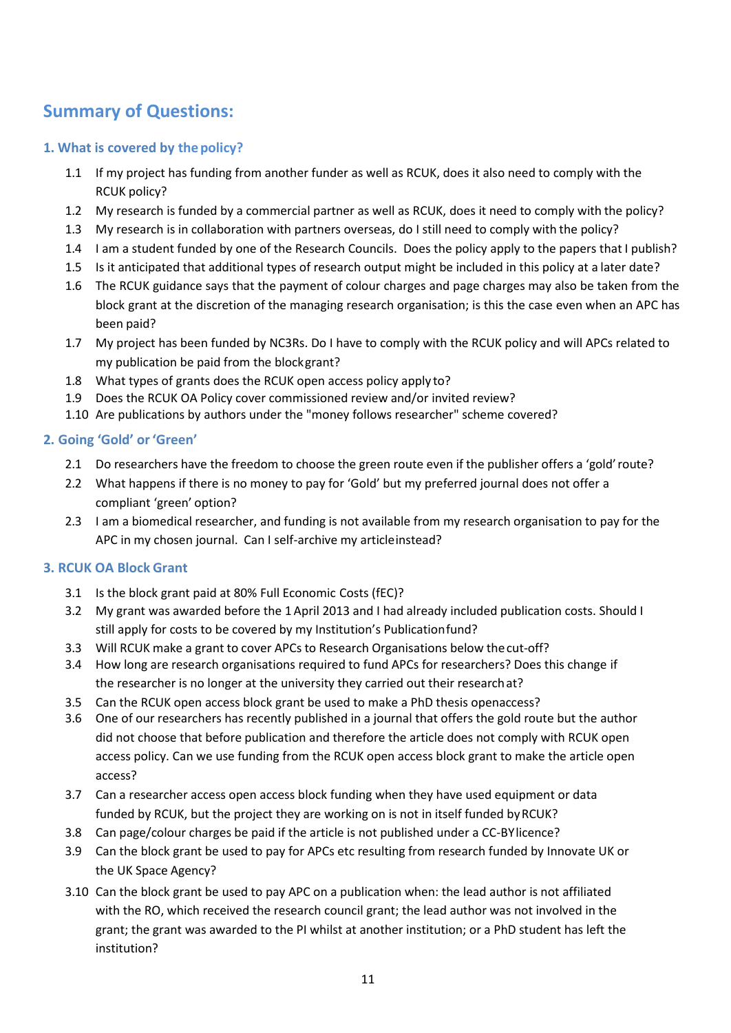# **Summary of Questions:**

# **1. What is covered by thepolicy?**

- 1.1 If my project has funding from another funder as well as RCUK, does it also need to comply with the RCUK policy?
- 1.2 My research is funded by a commercial partner as well as RCUK, does it need to comply with the policy?
- 1.3 My research is in collaboration with partners overseas, do I still need to comply with the policy?
- 1.4 I am a student funded by one of the Research Councils. Does the policy apply to the papers that I publish?
- 1.5 Is it anticipated that additional types of research output might be included in this policy at a later date?
- 1.6 The RCUK guidance says that the payment of colour charges and page charges may also be taken from the block grant at the discretion of the managing research organisation; is this the case even when an APC has been paid?
- 1.7 My project has been funded by NC3Rs. Do I have to comply with the RCUK policy and will APCs related to my publication be paid from the blockgrant?
- 1.8 What types of grants does the RCUK open access policy apply to?
- 1.9 Does the RCUK OA Policy cover commissioned review and/or invited review?
- 1.10 Are publications by authors under the "money follows researcher" scheme covered?

# **2. Going 'Gold' or'Green'**

- 2.1 Do researchers have the freedom to choose the green route even if the publisher offers a 'gold'route?
- 2.2 What happens if there is no money to pay for 'Gold' but my preferred journal does not offer a compliant 'green' option?
- 2.3 I am a biomedical researcher, and funding is not available from my research organisation to pay for the APC in my chosen journal. Can I self-archive my articleinstead?

# **3. RCUK OA Block Grant**

- 3.1 Is the block grant paid at 80% Full Economic Costs (fEC)?
- 3.2 My grant was awarded before the 1 April 2013 and I had already included publication costs. Should I still apply for costs to be covered by my Institution's Publicationfund?
- 3.3 Will RCUK make a grant to cover APCs to Research Organisations below thecut-off?
- 3.4 How long are research organisations required to fund APCs for researchers? Does this change if the researcher is no longer at the university they carried out their researchat?
- 3.5 Can the RCUK open access block grant be used to make a PhD thesis openaccess?
- 3.6 One of our researchers has recently published in a journal that offers the gold route but the author did not choose that before publication and therefore the article does not comply with RCUK open access policy. Can we use funding from the RCUK open access block grant to make the article open access?
- 3.7 Can a researcher access open access block funding when they have used equipment or data funded by RCUK, but the project they are working on is not in itself funded by RCUK?
- 3.8 Can page/colour charges be paid if the article is not published under a CC-BYlicence?
- 3.9 Can the block grant be used to pay for APCs etc resulting from research funded by Innovate UK or the UK Space Agency?
- 3.10 Can the block grant be used to pay APC on a publication when: the lead author is not affiliated with the RO, which received the research council grant; the lead author was not involved in the grant; the grant was awarded to the PI whilst at another institution; or a PhD student has left the institution?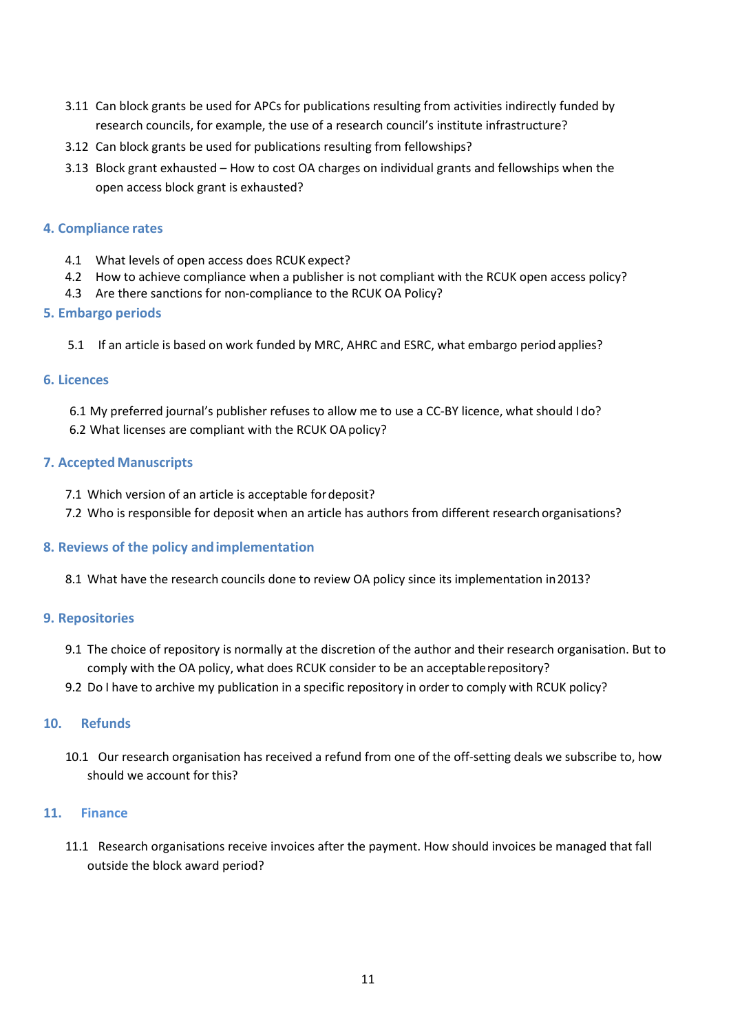- 3.11 Can block grants be used for APCs for publications resulting from activities indirectly funded by research councils, for example, the use of a research council's institute infrastructure?
- 3.12 Can block grants be used for publications resulting from fellowships?
- 3.13 Block grant exhausted How to cost OA charges on individual grants and fellowships when the open access block grant is exhausted?

## **4. Compliance rates**

- 4.1 What levels of open access does RCUK expect?
- 4.2 How to achieve compliance when a publisher is not compliant with the RCUK open access policy?
- 4.3 Are there sanctions for non-compliance to the RCUK OA Policy?

## **5. Embargo periods**

5.1 If an article is based on work funded by MRC, AHRC and ESRC, what embargo period applies?

## **6. Licences**

6.1 My preferred journal's publisher refuses to allow me to use a CC-BY licence, what should Ido? 6.2 What licenses are compliant with the RCUK OA policy?

## **7. Accepted Manuscripts**

- 7.1 Which version of an article is acceptable fordeposit?
- 7.2 Who is responsible for deposit when an article has authors from different researchorganisations?

## **8. Reviews of the policy andimplementation**

8.1 What have the research councils done to review OA policy since its implementation in2013?

## **9. Repositories**

- 9.1 The choice of repository is normally at the discretion of the author and their research organisation. But to comply with the OA policy, what does RCUK consider to be an acceptablerepository?
- 9.2 Do I have to archive my publication in a specific repository in order to comply with RCUK policy?

## **10. Refunds**

10.1 Our research organisation has received a refund from one of the off-setting deals we subscribe to, how should we account for this?

#### **11. Finance**

11.1 Research organisations receive invoices after the payment. How should invoices be managed that fall outside the block award period?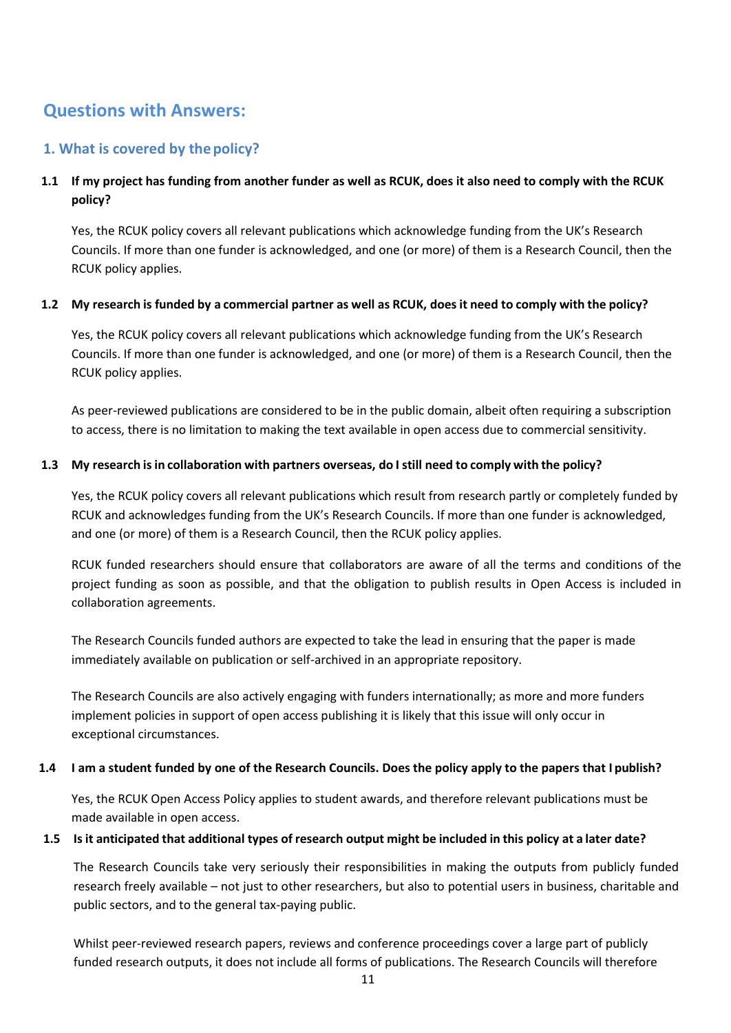# **Questions with Answers:**

# **1. What is covered by thepolicy?**

# **1.1 If my project has funding from another funder as well as RCUK, does it also need to comply with the RCUK policy?**

Yes, the RCUK policy covers all relevant publications which acknowledge funding from the UK's Research Councils. If more than one funder is acknowledged, and one (or more) of them is a Research Council, then the RCUK policy applies.

## 1.2 My research is funded by a commercial partner as well as RCUK, does it need to comply with the policy?

Yes, the RCUK policy covers all relevant publications which acknowledge funding from the UK's Research Councils. If more than one funder is acknowledged, and one (or more) of them is a Research Council, then the RCUK policy applies.

As peer-reviewed publications are considered to be in the public domain, albeit often requiring a subscription to access, there is no limitation to making the text available in open access due to commercial sensitivity.

## **1.3 My research isin collaboration with partners overseas, do I still need to comply with the policy?**

Yes, the RCUK policy covers all relevant publications which result from research partly or completely funded by RCUK and acknowledges funding from the UK's Research Councils. If more than one funder is acknowledged, and one (or more) of them is a Research Council, then the RCUK policy applies.

RCUK funded researchers should ensure that collaborators are aware of all the terms and conditions of the project funding as soon as possible, and that the obligation to publish results in Open Access is included in collaboration agreements.

The Research Councils funded authors are expected to take the lead in ensuring that the paper is made immediately available on publication or self-archived in an appropriate repository.

The Research Councils are also actively engaging with funders internationally; as more and more funders implement policies in support of open access publishing it is likely that this issue will only occur in exceptional circumstances.

#### **1.4 I am a student funded by one of the Research Councils. Does the policy apply to the papers that I publish?**

Yes, the RCUK Open Access Policy applies to student awards, and therefore relevant publications must be made available in open access.

#### 1.5 Is it anticipated that additional types of research output might be included in this policy at a later date?

The Research Councils take very seriously their responsibilities in making the outputs from publicly funded research freely available – not just to other researchers, but also to potential users in business, charitable and public sectors, and to the general tax-paying public.

Whilst peer-reviewed research papers, reviews and conference proceedings cover a large part of publicly funded research outputs, it does not include all forms of publications. The Research Councils will therefore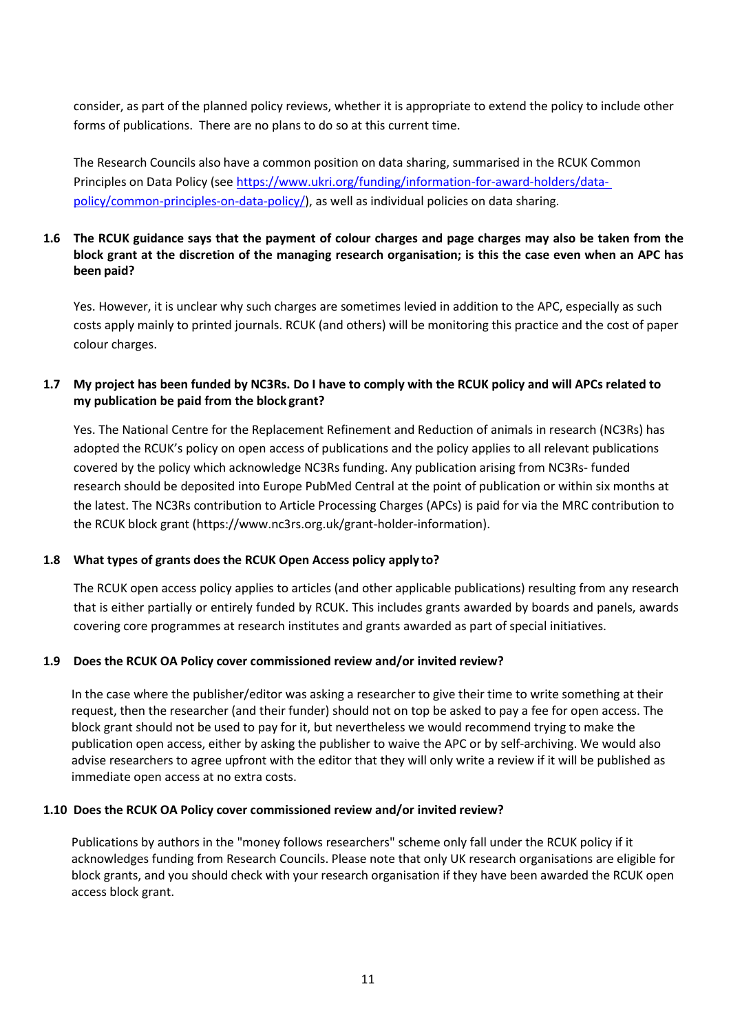consider, as part of the planned policy reviews, whether it is appropriate to extend the policy to include other forms of publications. There are no plans to do so at this current time.

The Research Councils also have a common position on data sharing, summarised in the RCUK Common Principles on Data Policy (see [https://www.ukri.org/funding/information-for-award-holders/data](https://www.ukri.org/funding/information-for-award-holders/data-policy/common-principles-on-data-policy/)[policy/common-principles-on-data-policy/\)](https://www.ukri.org/funding/information-for-award-holders/data-policy/common-principles-on-data-policy/), as well as individual policies on data sharing.

## **1.6 The RCUK guidance says that the payment of colour charges and page charges may also be taken from the block grant at the discretion of the managing research organisation; is this the case even when an APC has been paid?**

Yes. However, it is unclear why such charges are sometimes levied in addition to the APC, especially as such costs apply mainly to printed journals. RCUK (and others) will be monitoring this practice and the cost of paper colour charges.

## **1.7 My project has been funded by NC3Rs. Do I have to comply with the RCUK policy and will APCs related to my publication be paid from the block grant?**

Yes. The National Centre for the Replacement Refinement and Reduction of animals in research (NC3Rs) has adopted the RCUK's policy on open access of publications and the policy applies to all relevant publications covered by the policy which acknowledge NC3Rs funding. Any publication arising from NC3Rs- funded research should be deposited into Europe PubMed Central at the point of publication or within six months at the latest. The NC3Rs contribution to Article Processing Charges (APCs) is paid for via the MRC contribution to the RCUK block grant [\(https://www.nc3rs.org.uk/grant-holder-information\)](https://www.nc3rs.org.uk/grant-holder-information).

## **1.8 What types of grants does the RCUK Open Access policy apply to?**

The RCUK open access policy applies to articles (and other applicable publications) resulting from any research that is either partially or entirely funded by RCUK. This includes grants awarded by boards and panels, awards covering core programmes at research institutes and grants awarded as part of special initiatives.

#### **1.9 Does the RCUK OA Policy cover commissioned review and/or invited review?**

In the case where the publisher/editor was asking a researcher to give their time to write something at their request, then the researcher (and their funder) should not on top be asked to pay a fee for open access. The block grant should not be used to pay for it, but nevertheless we would recommend trying to make the publication open access, either by asking the publisher to waive the APC or by self-archiving. We would also advise researchers to agree upfront with the editor that they will only write a review if it will be published as immediate open access at no extra costs.

#### **1.10 Does the RCUK OA Policy cover commissioned review and/or invited review?**

Publications by authors in the "money follows researchers" scheme only fall under the RCUK policy if it acknowledges funding from Research Councils. Please note that only UK research organisations are eligible for block grants, and you should check with your research organisation if they have been awarded the RCUK open access block grant.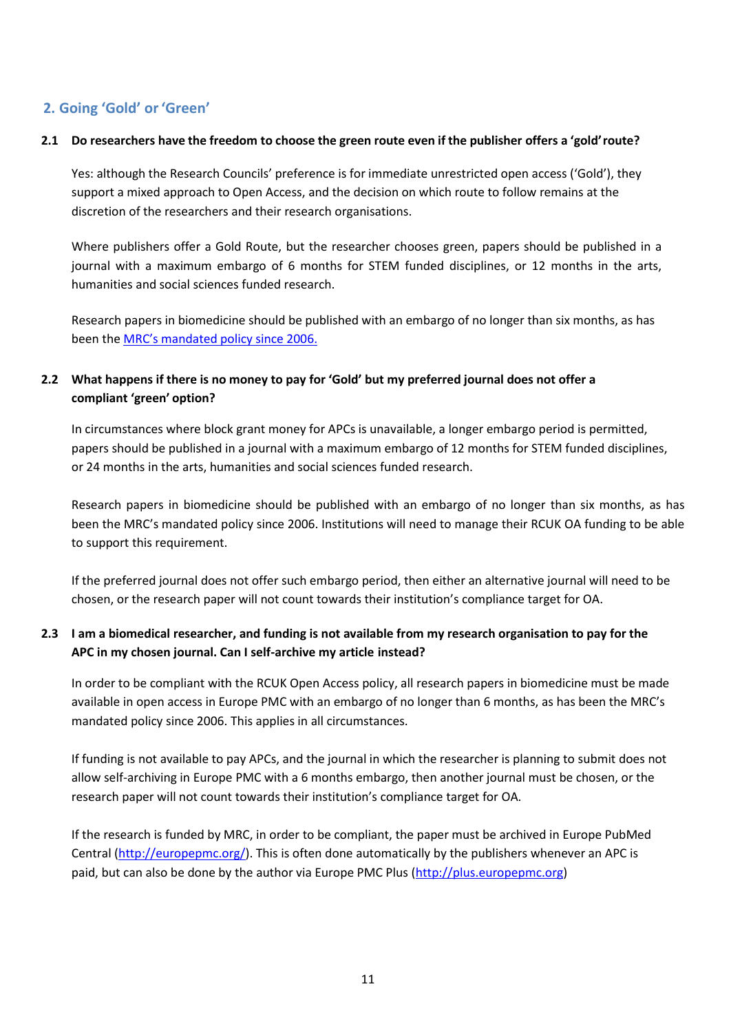# **2. Going 'Gold' or'Green'**

#### 2.1 Do researchers have the freedom to choose the green route even if the publisher offers a 'gold' route?

Yes: although the Research Councils' preference is for immediate unrestricted open access ('Gold'), they support a mixed approach to Open Access, and the decision on which route to follow remains at the discretion of the researchers and their research organisations.

Where publishers offer a Gold Route, but the researcher chooses green, papers should be published in a journal with a maximum embargo of 6 months for STEM funded disciplines, or 12 months in the arts, humanities and social sciences funded research.

Research papers in biomedicine should be published with an embargo of no longer than six months, as has been the **MRC's** mandated policy since 2006.

# **2.2 What happens if there is no money to pay for 'Gold' but my preferred journal does not offer a compliant 'green' option?**

In circumstances where block grant money for APCs is unavailable, a longer embargo period is permitted, papers should be published in a journal with a maximum embargo of 12 months for STEM funded disciplines, or 24 months in the arts, humanities and social sciences funded research.

Research papers in biomedicine should be published with an embargo of no longer than six months, as has been the MRC's mandated policy since 2006. Institutions will need to manage their RCUK OA funding to be able to support this requirement.

If the preferred journal does not offer such embargo period, then either an alternative journal will need to be chosen, or the research paper will not count towards their institution's compliance target for OA.

# **2.3 I am a biomedical researcher, and funding is not available from my research organisation to pay for the APC in my chosen journal. Can I self-archive my article instead?**

In order to be compliant with the RCUK Open Access policy, all research papers in biomedicine must be made available in open access in Europe PMC with an embargo of no longer than 6 months, as has been the MRC's mandated policy since 2006. This applies in all circumstances.

If funding is not available to pay APCs, and the journal in which the researcher is planning to submit does not allow self-archiving in Europe PMC with a 6 months embargo, then another journal must be chosen, or the research paper will not count towards their institution's compliance target for OA.

If the research is funded by MRC, in order to be compliant, the paper must be archived in Europe PubMed Central [\(http://europepmc.org/\)](http://europepmc.org/). This is often done automatically by the publishers whenever an APC is paid, but can also be done by the author via Europe PMC Plus [\(http://plus.europepmc.org\)](http://plus.europepmc.org/)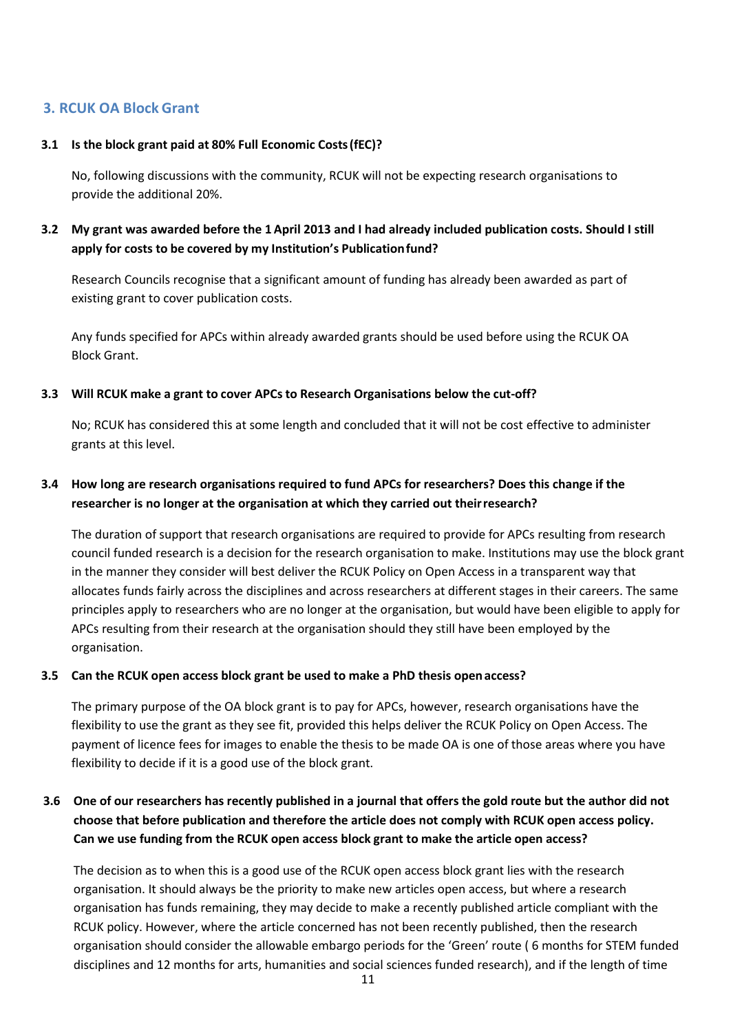# **3. RCUK OA Block Grant**

#### **3.1 Is the block grant paid at 80% Full Economic Costs(fEC)?**

No, following discussions with the community, RCUK will not be expecting research organisations to provide the additional 20%.

# **3.2 My grant was awarded before the 1 April 2013 and I had already included publication costs. Should I still apply for costs to be covered by my Institution's Publicationfund?**

Research Councils recognise that a significant amount of funding has already been awarded as part of existing grant to cover publication costs.

Any funds specified for APCs within already awarded grants should be used before using the RCUK OA Block Grant.

## **3.3 Will RCUK make a grant to cover APCs to Research Organisations below the cut-off?**

No; RCUK has considered this at some length and concluded that it will not be cost effective to administer grants at this level.

# **3.4 How long are research organisations required to fund APCs for researchers? Does this change if the researcher is no longer at the organisation at which they carried out theirresearch?**

The duration of support that research organisations are required to provide for APCs resulting from research council funded research is a decision for the research organisation to make. Institutions may use the block grant in the manner they consider will best deliver the RCUK Policy on Open Access in a transparent way that allocates funds fairly across the disciplines and across researchers at different stages in their careers. The same principles apply to researchers who are no longer at the organisation, but would have been eligible to apply for APCs resulting from their research at the organisation should they still have been employed by the organisation.

#### **3.5 Can the RCUK open access block grant be used to make a PhD thesis openaccess?**

The primary purpose of the OA block grant is to pay for APCs, however, research organisations have the flexibility to use the grant as they see fit, provided this helps deliver the RCUK Policy on Open Access. The payment of licence fees for images to enable the thesis to be made OA is one of those areas where you have flexibility to decide if it is a good use of the block grant.

# **3.6 One of our researchers has recently published in a journal that offers the gold route but the author did not choose that before publication and therefore the article does not comply with RCUK open access policy. Can we use funding from the RCUK open access block grant to make the article open access?**

The decision as to when this is a good use of the RCUK open access block grant lies with the research organisation. It should always be the priority to make new articles open access, but where a research organisation has funds remaining, they may decide to make a recently published article compliant with the RCUK policy. However, where the article concerned has not been recently published, then the research organisation should consider the allowable embargo periods for the 'Green' route ( 6 months for STEM funded disciplines and 12 months for arts, humanities and social sciences funded research), and if the length of time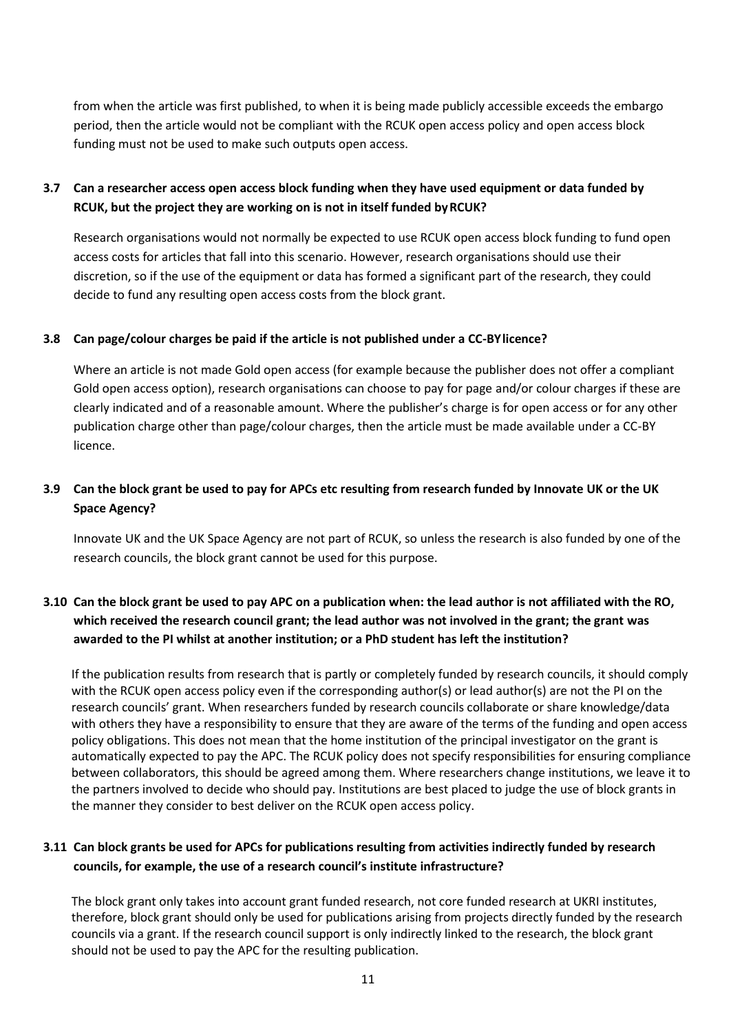from when the article was first published, to when it is being made publicly accessible exceeds the embargo period, then the article would not be compliant with the RCUK open access policy and open access block funding must not be used to make such outputs open access.

# **3.7 Can a researcher access open access block funding when they have used equipment or data funded by RCUK, but the project they are working on is not in itself funded byRCUK?**

Research organisations would not normally be expected to use RCUK open access block funding to fund open access costs for articles that fall into this scenario. However, research organisations should use their discretion, so if the use of the equipment or data has formed a significant part of the research, they could decide to fund any resulting open access costs from the block grant.

## **3.8 Can page/colour charges be paid if the article is not published under a CC-BYlicence?**

Where an article is not made Gold open access (for example because the publisher does not offer a compliant Gold open access option), research organisations can choose to pay for page and/or colour charges if these are clearly indicated and of a reasonable amount. Where the publisher's charge is for open access or for any other publication charge other than page/colour charges, then the article must be made available under a CC-BY licence.

# **3.9 Can the block grant be used to pay for APCs etc resulting from research funded by Innovate UK or the UK Space Agency?**

Innovate UK and the UK Space Agency are not part of RCUK, so unless the research is also funded by one of the research councils, the block grant cannot be used for this purpose.

# **3.10 Can the block grant be used to pay APC on a publication when: the lead author is not affiliated with the RO, which received the research council grant; the lead author was not involved in the grant; the grant was awarded to the PI whilst at another institution; or a PhD student has left the institution?**

If the publication results from research that is partly or completely funded by research councils, it should comply with the RCUK open access policy even if the corresponding author(s) or lead author(s) are not the PI on the research councils' grant. When researchers funded by research councils collaborate or share knowledge/data with others they have a responsibility to ensure that they are aware of the terms of the funding and open access policy obligations. This does not mean that the home institution of the principal investigator on the grant is automatically expected to pay the APC. The RCUK policy does not specify responsibilities for ensuring compliance between collaborators, this should be agreed among them. Where researchers change institutions, we leave it to the partners involved to decide who should pay. Institutions are best placed to judge the use of block grants in the manner they consider to best deliver on the RCUK open access policy.

# **3.11 Can block grants be used for APCs for publications resulting from activities indirectly funded by research councils, for example, the use of a research council's institute infrastructure?**

The block grant only takes into account grant funded research, not core funded research at UKRI institutes, therefore, block grant should only be used for publications arising from projects directly funded by the research councils via a grant. If the research council support is only indirectly linked to the research, the block grant should not be used to pay the APC for the resulting publication.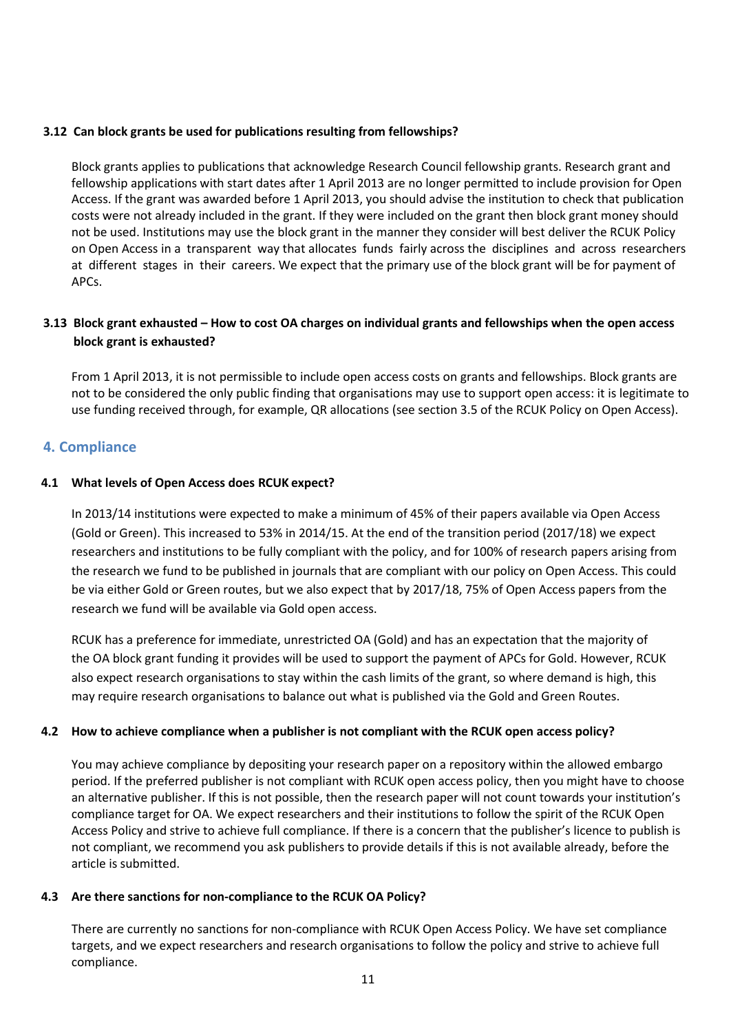#### **3.12 Can block grants be used for publications resulting from fellowships?**

Block grants applies to publications that acknowledge Research Council fellowship grants. Research grant and fellowship applications with start dates after 1 April 2013 are no longer permitted to include provision for Open Access. If the grant was awarded before 1 April 2013, you should advise the institution to check that publication costs were not already included in the grant. If they were included on the grant then block grant money should not be used. Institutions may use the block grant in the manner they consider will best deliver the RCUK Policy on Open Access in a transparent way that allocates funds fairly across the disciplines and across researchers at different stages in their careers. We expect that the primary use of the block grant will be for payment of APCs.

# **3.13 Block grant exhausted – How to cost OA charges on individual grants and fellowships when the open access block grant is exhausted?**

From 1 April 2013, it is not permissible to include open access costs on grants and fellowships. Block grants are not to be considered the only public finding that organisations may use to support open access: it is legitimate to use funding received through, for example, QR allocations (see section 3.5 of the RCUK Policy on Open Access).

# **4. Compliance**

## **4.1 What levels of Open Access does RCUK expect?**

In 2013/14 institutions were expected to make a minimum of 45% of their papers available via Open Access (Gold or Green). This increased to 53% in 2014/15. At the end of the transition period (2017/18) we expect researchers and institutions to be fully compliant with the policy, and for 100% of research papers arising from the research we fund to be published in journals that are compliant with our policy on Open Access. This could be via either Gold or Green routes, but we also expect that by 2017/18, 75% of Open Access papers from the research we fund will be available via Gold open access.

RCUK has a preference for immediate, unrestricted OA (Gold) and has an expectation that the majority of the OA block grant funding it provides will be used to support the payment of APCs for Gold. However, RCUK also expect research organisations to stay within the cash limits of the grant, so where demand is high, this may require research organisations to balance out what is published via the Gold and Green Routes.

#### **4.2 How to achieve compliance when a publisher is not compliant with the RCUK open access policy?**

You may achieve compliance by depositing your research paper on a repository within the allowed embargo period. If the preferred publisher is not compliant with RCUK open access policy, then you might have to choose an alternative publisher. If this is not possible, then the research paper will not count towards your institution's compliance target for OA. We expect researchers and their institutions to follow the spirit of the RCUK Open Access Policy and strive to achieve full compliance. If there is a concern that the publisher's licence to publish is not compliant, we recommend you ask publishers to provide details if this is not available already, before the article is submitted.

#### **4.3 Are there sanctions for non-compliance to the RCUK OA Policy?**

There are currently no sanctions for non-compliance with RCUK Open Access Policy. We have set compliance targets, and we expect researchers and research organisations to follow the policy and strive to achieve full compliance.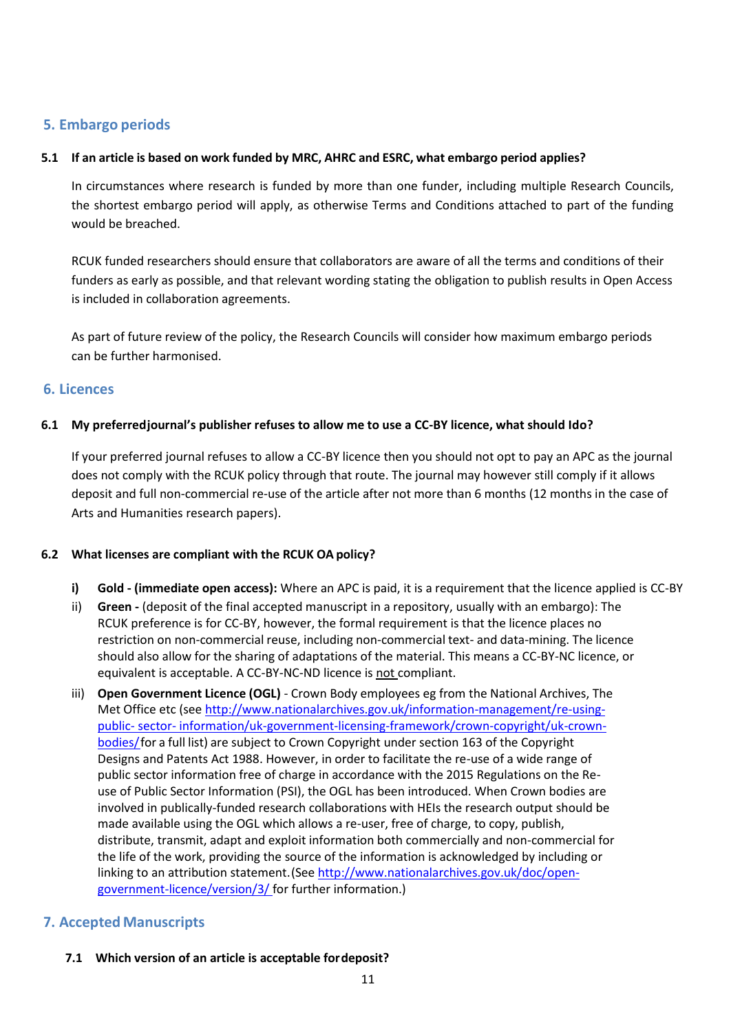# **5. Embargo periods**

## **5.1 If an article is based on work funded by MRC, AHRC and ESRC, what embargo period applies?**

In circumstances where research is funded by more than one funder, including multiple Research Councils, the shortest embargo period will apply, as otherwise Terms and Conditions attached to part of the funding would be breached.

RCUK funded researchers should ensure that collaborators are aware of all the terms and conditions of their funders as early as possible, and that relevant wording stating the obligation to publish results in Open Access is included in collaboration agreements.

As part of future review of the policy, the Research Councils will consider how maximum embargo periods can be further harmonised.

## **6. Licences**

## **6.1 My preferredjournal's publisher refuses to allow me to use a CC-BY licence, what should Ido?**

If your preferred journal refuses to allow a CC-BY licence then you should not opt to pay an APC as the journal does not comply with the RCUK policy through that route. The journal may however still comply if it allows deposit and full non-commercial re-use of the article after not more than 6 months (12 months in the case of Arts and Humanities research papers).

#### **6.2 What licenses are compliant with the RCUK OA policy?**

- **i) Gold - (immediate open access):** Where an APC is paid, it is a requirement that the licence applied is CC-BY
- ii) **Green -** (deposit of the final accepted manuscript in a repository, usually with an embargo): The RCUK preference is for CC-BY, however, the formal requirement is that the licence places no restriction on non-commercial reuse, including non-commercial text- and data-mining. The licence should also allow for the sharing of adaptations of the material. This means a CC-BY-NC licence, or equivalent is acceptable. A CC-BY-NC-ND licence is not compliant.
- iii) **Open Government Licence (OGL)**  Crown Body employees eg from the National Archives, The Met Office etc (see [http://www.nationalarchives.gov.uk/information-management/re-using](http://www.nationalarchives.gov.uk/information-management/re-using-public-sector-information/uk-government-licensing-framework/crown-copyright/uk-crown-bodies/)[public-](http://www.nationalarchives.gov.uk/information-management/re-using-public-sector-information/uk-government-licensing-framework/crown-copyright/uk-crown-bodies/) [sector-](http://www.nationalarchives.gov.uk/information-management/re-using-public-sector-information/uk-government-licensing-framework/crown-copyright/uk-crown-bodies/) [information/uk-government-licensing-framework/crown-copyright/uk-crown](http://www.nationalarchives.gov.uk/information-management/re-using-public-sector-information/uk-government-licensing-framework/crown-copyright/uk-crown-bodies/)[bodies/f](http://www.nationalarchives.gov.uk/information-management/re-using-public-sector-information/uk-government-licensing-framework/crown-copyright/uk-crown-bodies/)or a full list) are subject to Crown Copyright under section 163 of the Copyright Designs and Patents Act 1988. However, in order to facilitate the re-use of a wide range of public sector information free of charge in accordance with the 2015 Regulations on the Reuse of Public Sector Information (PSI), the OGL has been introduced. When Crown bodies are involved in publically-funded research collaborations with HEIs the research output should be made available using the OGL which allows a re-user, free of charge, to copy, publish, distribute, transmit, adapt and exploit information both commercially and non-commercial for the life of the work, providing the source of the information is acknowledged by including or linking to an attribution statement. (See [http://www.nationalarchives.gov.uk/doc/open](http://www.nationalarchives.gov.uk/doc/open-government-licence/version/3/)[government-licence/version/3/](http://www.nationalarchives.gov.uk/doc/open-government-licence/version/3/) for further information.)

# **7. Accepted Manuscripts**

**7.1 Which version of an article is acceptable fordeposit?**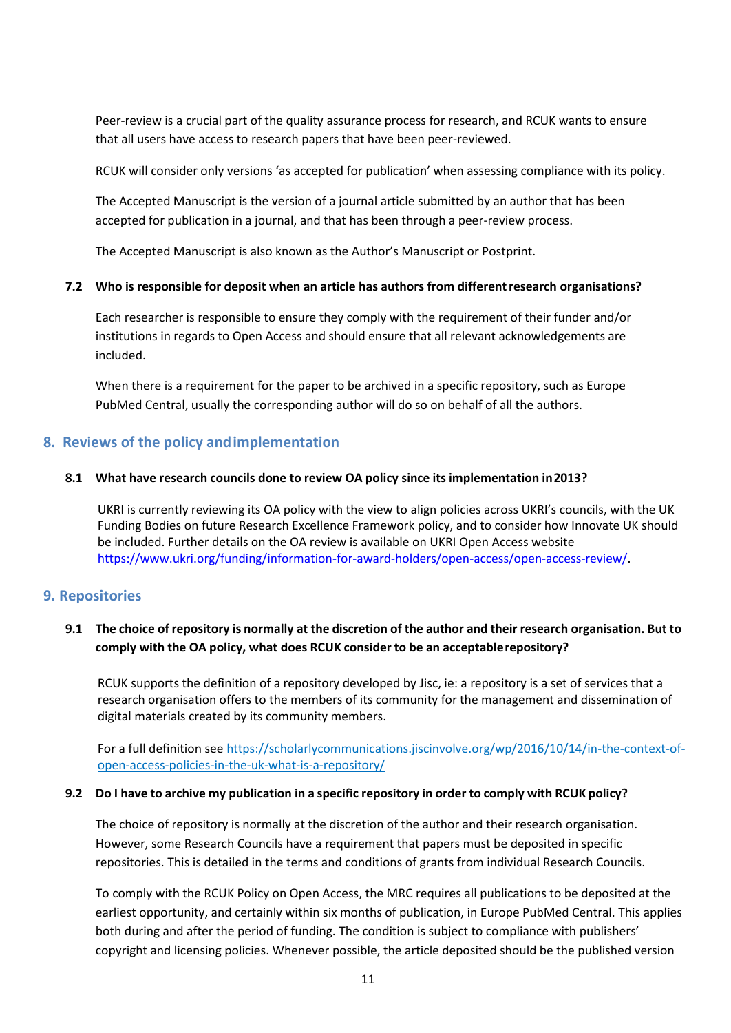Peer-review is a crucial part of the quality assurance process for research, and RCUK wants to ensure that all users have access to research papers that have been peer-reviewed.

RCUK will consider only versions 'as accepted for publication' when assessing compliance with its policy.

The Accepted Manuscript is the version of a journal article submitted by an author that has been accepted for publication in a journal, and that has been through a peer-review process.

The Accepted Manuscript is also known as the Author's Manuscript or Postprint.

## **7.2 Who is responsible for deposit when an article has authors from differentresearch organisations?**

Each researcher is responsible to ensure they comply with the requirement of their funder and/or institutions in regards to Open Access and should ensure that all relevant acknowledgements are included.

When there is a requirement for the paper to be archived in a specific repository, such as Europe PubMed Central, usually the corresponding author will do so on behalf of all the authors.

# **8. Reviews of the policy andimplementation**

## **8.1 What have research councils done to review OA policy since its implementation in2013?**

UKRI is currently reviewing its OA policy with the view to align policies across UKRI's councils, with the UK Funding Bodies on future Research Excellence Framework policy, and to consider how Innovate UK should be included. Further details on the OA review is available on UKRI Open Access website [https://www.ukri.org/funding/information-for-award-holders/open-access/open-access-review/.](https://www.ukri.org/funding/information-for-award-holders/open-access/open-access-review/)

## **9. Repositories**

# 9.1 The choice of repository is normally at the discretion of the author and their research organisation. But to **comply with the OA policy, what does RCUK consider to be an acceptablerepository?**

RCUK supports the definition of a repository developed by Jisc, ie: a repository is a set of services that a research organisation offers to the members of its community for the management and dissemination of digital materials created by its community members.

For a full definition se[e https://scholarlycommunications.jiscinvolve.org/wp/2016/10/14/in-the-context-of](https://scholarlycommunications.jiscinvolve.org/wp/2016/10/14/in-the-context-of-open-)[open-](https://scholarlycommunications.jiscinvolve.org/wp/2016/10/14/in-the-context-of-open-)[access-policies-in-the-uk-what-is-a-repository/](https://scholarlycommunications.jiscinvolve.org/wp/2016/10/14/in-the-context-of-open-access-policies-in-the-uk-what-is-a-repository/)

#### 9.2 Do I have to archive my publication in a specific repository in order to comply with RCUK policy?

The choice of repository is normally at the discretion of the author and their research organisation. However, some Research Councils have a requirement that papers must be deposited in specific repositories. This is detailed in the terms and conditions of grants from individual Research Councils.

To comply with the RCUK Policy on Open Access, the MRC requires all publications to be deposited at the earliest opportunity, and certainly within six months of publication, in Europe PubMed Central. This applies both during and after the period of funding. The condition is subject to compliance with publishers' copyright and licensing policies. Whenever possible, the article deposited should be the published version